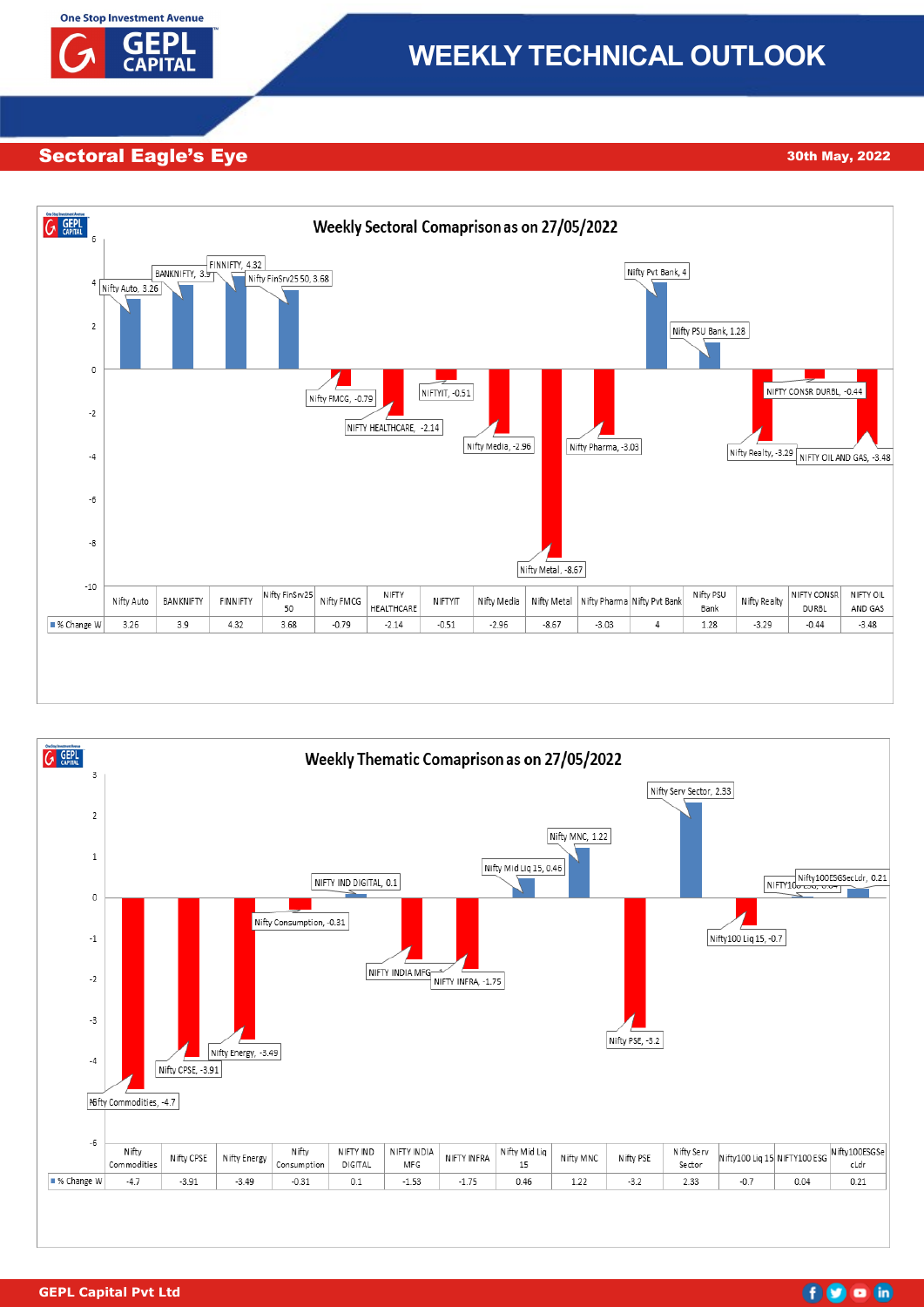

# **WEEKLY TECHNICAL OUTLOOK**

# Sectoral Eagle's Eye 17th November, 2022 30th May, 2022





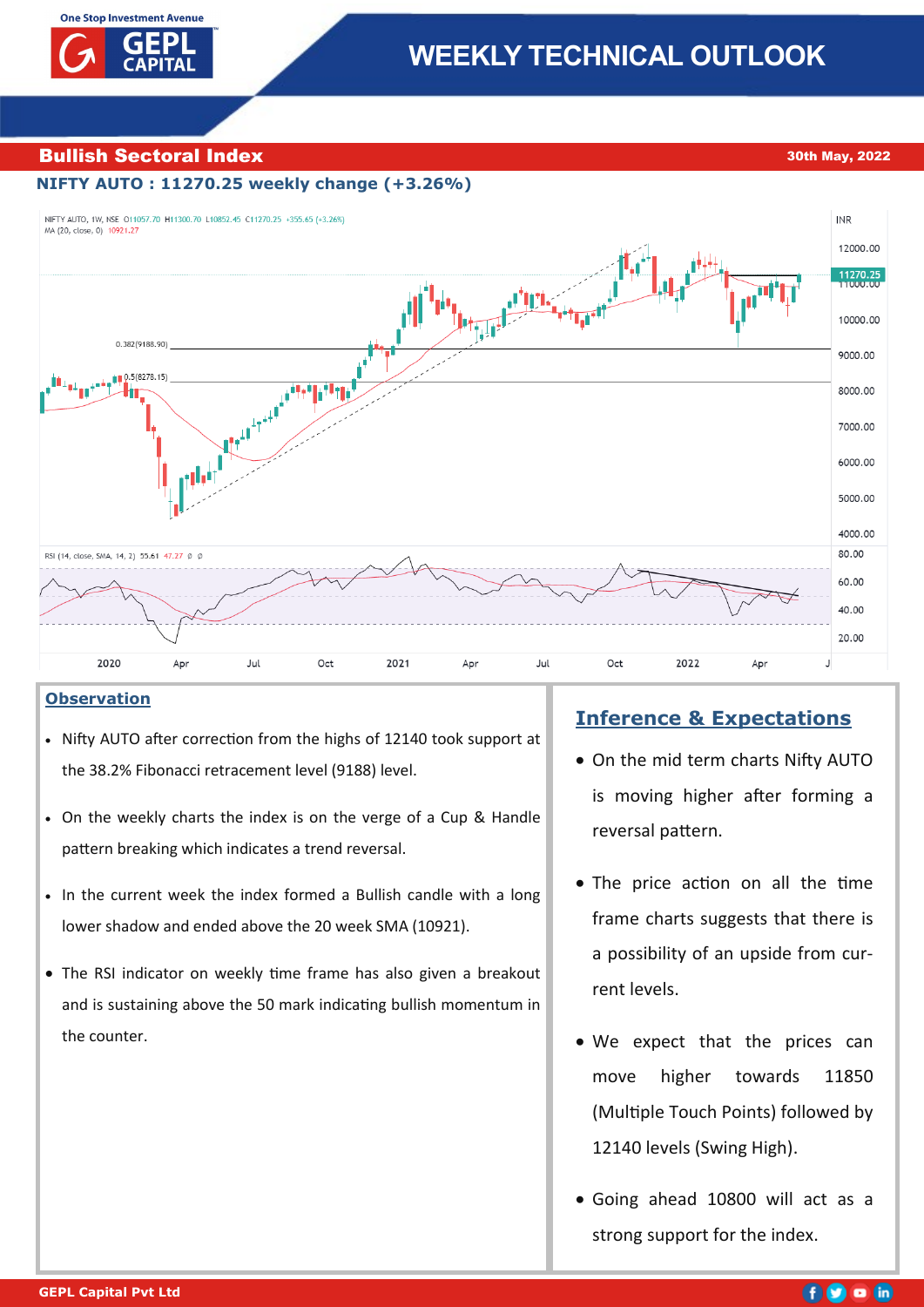# **Bullish Sectoral Index 30th May, 2022**

# **NIFTY AUTO : 11270.25 weekly change (+3.26%)**



# **Observation**

- Nifty AUTO after correction from the highs of 12140 took support at the 38.2% Fibonacci retracement level (9188) level.
- On the weekly charts the index is on the verge of a Cup & Handle pattern breaking which indicates a trend reversal.
- In the current week the index formed a Bullish candle with a long lower shadow and ended above the 20 week SMA (10921).
- The RSI indicator on weekly time frame has also given a breakout and is sustaining above the 50 mark indicating bullish momentum in the counter.

# **Inference & Expectations**

- On the mid term charts Nifty AUTO is moving higher after forming a reversal pattern.
- The price action on all the time frame charts suggests that there is a possibility of an upside from current levels.
- We expect that the prices can move higher towards 11850 (Multiple Touch Points) followed by 12140 levels (Swing High).
- Going ahead 10800 will act as a strong support for the index.

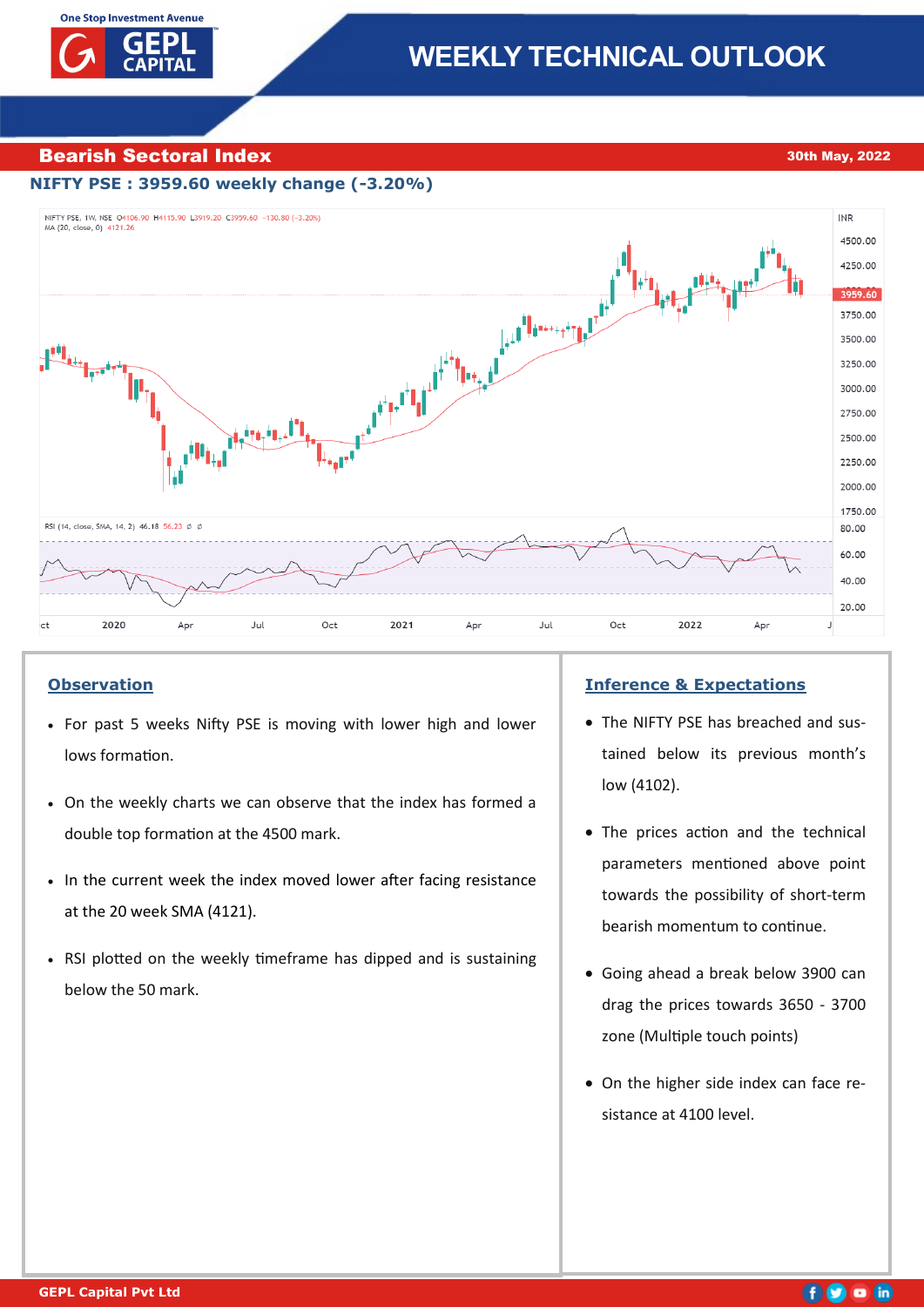# **Bearish Sectoral Index 30th May, 2022**

# **NIFTY PSE : 3959.60 weekly change (-3.20%)**



## **Observation**

- For past 5 weeks Nifty PSE is moving with lower high and lower lows formation.
- On the weekly charts we can observe that the index has formed a double top formation at the 4500 mark.
- In the current week the index moved lower after facing resistance at the 20 week SMA (4121).
- RSI plotted on the weekly timeframe has dipped and is sustaining below the 50 mark.

### **Inference & Expectations**

- The NIFTY PSE has breached and sustained below its previous month's low (4102).
- The prices action and the technical parameters mentioned above point towards the possibility of short-term bearish momentum to continue.
- Going ahead a break below 3900 can drag the prices towards 3650 - 3700 zone (Multiple touch points)
- On the higher side index can face resistance at 4100 level.